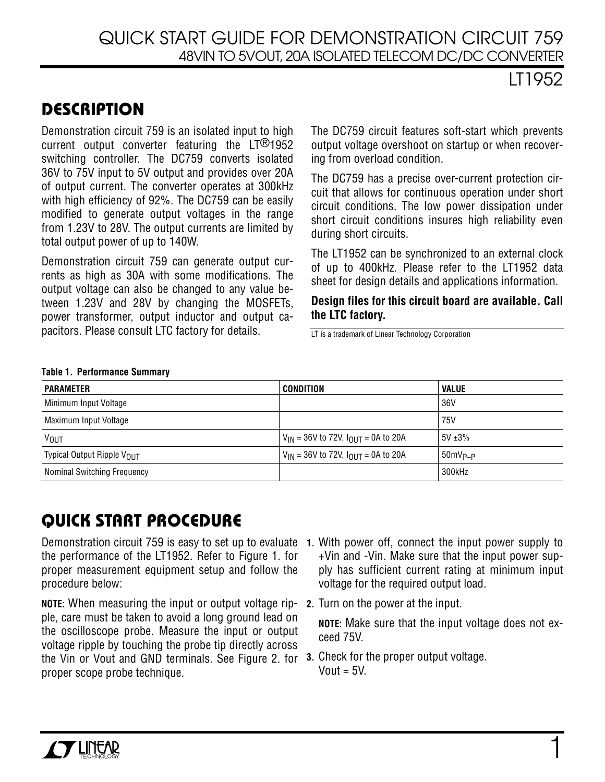## QUICK START GUIDE FOR DEMONSTRATION CIRCUIT 759 48VIN TO 5VOUT, 20A ISOLATED TELECOM DC/DC CONVERTER

LT1952

# **DESCRIPTION**

Demonstration circuit 759 is an isolated input to high current output converter featuring the LT®1952 switching controller. The DC759 converts isolated 36V to 75V input to 5V output and provides over 20A of output current. The converter operates at 300kHz with high efficiency of 92%. The DC759 can be easily modified to generate output voltages in the range from 1.23V to 28V. The output currents are limited by total output power of up to 140W.

Demonstration circuit 759 can generate output currents as high as 30A with some modifications. The output voltage can also be changed to any value between 1.23V and 28V by changing the MOSFETs, power transformer, output inductor and output capacitors. Please consult LTC factory for details.

The DC759 circuit features soft-start which prevents output voltage overshoot on startup or when recovering from overload condition.

The DC759 has a precise over-current protection circuit that allows for continuous operation under short circuit conditions. The low power dissipation under short circuit conditions insures high reliability even during short circuits.

The LT1952 can be synchronized to an external clock of up to 400kHz. Please refer to the LT1952 data sheet for design details and applications information.

**Design files for this circuit board are available. Call the LTC factory.**

LT is a trademark of Linear Technology Corporation

#### **Table 1. Performance Summary**

| <b>PARAMETER</b>                       | <b>CONDITION</b>                              | <b>VALUE</b> |
|----------------------------------------|-----------------------------------------------|--------------|
| Minimum Input Voltage                  |                                               | 36V          |
| Maximum Input Voltage                  |                                               | 75V          |
| <b>VOUT</b>                            | $V_{IN}$ = 36V to 72V, $I_{OUIT}$ = 0A to 20A | $5V \pm 3\%$ |
| Typical Output Ripple V <sub>OUT</sub> | $V_{IN}$ = 36V to 72V, $I_{OUIT}$ = 0A to 20A | $50mV_{P-P}$ |
| <b>Nominal Switching Frequency</b>     |                                               | 300kHz       |

# **QUICK START PROCEDURE**

Demonstration circuit 759 is easy to set up to evaluate **1.** With power off, connect the input power supply to the performance of the LT1952. Refer to Figure 1. for proper measurement equipment setup and follow the procedure below:

**NOTE:** When measuring the input or output voltage ripple, care must be taken to avoid a long ground lead on the oscilloscope probe. Measure the input or output voltage ripple by touching the probe tip directly across the Vin or Vout and GND terminals. See Figure 2. for **3.** Check for the proper output voltage. proper scope probe technique.

- +Vin and -Vin. Make sure that the input power supply has sufficient current rating at minimum input voltage for the required output load.
- **2.** Turn on the power at the input.

**NOTE:** Make sure that the input voltage does not exceed 75V.

 $V$ out =  $5V$ .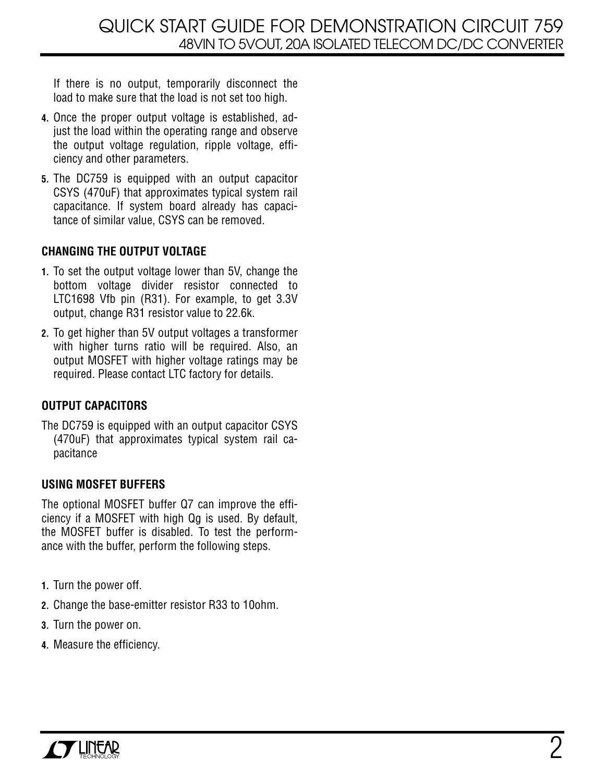If there is no output, temporarily disconnect the load to make sure that the load is not set too high.

- **4.** Once the proper output voltage is established, adjust the load within the operating range and observe the output voltage regulation, ripple voltage, efficiency and other parameters.
- **5.** The DC759 is equipped with an output capacitor CSYS (470uF) that approximates typical system rail capacitance. If system board already has capacitance of similar value, CSYS can be removed.

### **CHANGING THE OUTPUT VOLTAGE**

- **1.** To set the output voltage lower than 5V, change the bottom voltage divider resistor connected to LTC1698 Vfb pin (R31). For example, to get 3.3V output, change R31 resistor value to 22.6k.
- **2.** To get higher than 5V output voltages a transformer with higher turns ratio will be required. Also, an output MOSFET with higher voltage ratings may be required. Please contact LTC factory for details.

### **OUTPUT CAPACITORS**

The DC759 is equipped with an output capacitor CSYS (470uF) that approximates typical system rail capacitance

### **USING MOSFET BUFFERS**

The optional MOSFET buffer Q7 can improve the efficiency if a MOSFET with high Qg is used. By default, the MOSFET buffer is disabled. To test the performance with the buffer, perform the following steps.

- **1.** Turn the power off.
- **2.** Change the base-emitter resistor R33 to 10ohm.
- **3.** Turn the power on.
- **4.** Measure the efficiency.

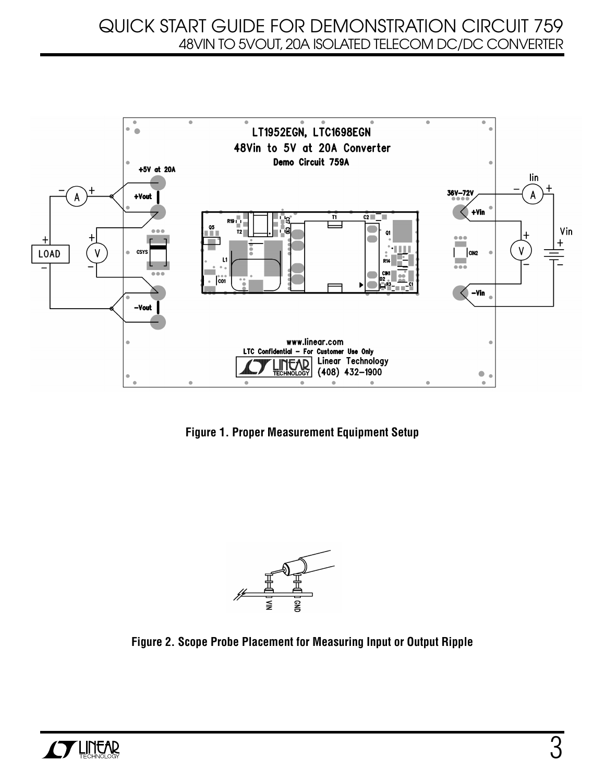## QUICK START GUIDE FOR DEMONSTRATION CIRCUIT 759 48VIN TO 5VOUT, 20A ISOLATED TELECOM DC/DC CONVERTER



**Figure 1. Proper Measurement Equipment Setup**



**Figure 2. Scope Probe Placement for Measuring Input or Output Ripple**